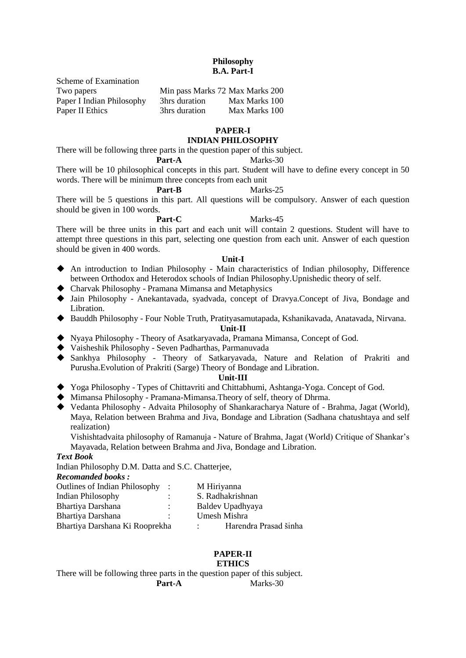# **Philosophy B.A. Part-I**

Scheme of Examination

Two papers Min pass Marks 72 Max Marks 200 Paper I Indian Philosophy 3hrs duration Max Marks 100 Paper II Ethics 3hrs duration Max Marks 100

# **PAPER-I**

# **INDIAN PHILOSOPHY**

There will be following three parts in the question paper of this subject.

# Part-A Marks-30

There will be 10 philosophical concepts in this part. Student will have to define every concept in 50 words. There will be minimum three concepts from each unit

# Part-B Marks-25

There will be 5 questions in this part. All questions will be compulsory. Answer of each question should be given in 100 words.

## **Part-C** Marks-45

There will be three units in this part and each unit will contain 2 questions. Student will have to attempt three questions in this part, selecting one question from each unit. Answer of each question should be given in 400 words.

## **Unit-I**

- An introduction to Indian Philosophy Main characteristics of Indian philosophy, Difference between Orthodox and Heterodox schools of Indian Philosophy.Upnishedic theory of self.
- Charvak Philosophy Pramana Mimansa and Metaphysics
- Jain Philosophy Anekantavada, syadvada, concept of Dravya.Concept of Jiva, Bondage and Libration.
- Bauddh Philosophy Four Noble Truth, Pratityasamutapada, Kshanikavada, Anatavada, Nirvana.

# **Unit-II**

- Nyaya Philosophy Theory of Asatkaryavada, Pramana Mimansa, Concept of God.
- Vaisheshik Philosophy Seven Padharthas, Parmanuvada
- Sankhya Philosophy Theory of Satkaryavada, Nature and Relation of Prakriti and Purusha.Evolution of Prakriti (Sarge) Theory of Bondage and Libration.

## **Unit-III**

- Yoga Philosophy Types of Chittavriti and Chittabhumi, Ashtanga-Yoga. Concept of God.
- Mimansa Philosophy Pramana-Mimansa.Theory of self, theory of Dhrma.
- Vedanta Philosophy Advaita Philosophy of Shankaracharya Nature of Brahma, Jagat (World), Maya, Relation between Brahma and Jiva, Bondage and Libration (Sadhana chatushtaya and self realization)

Vishishtadvaita philosophy of Ramanuja - Nature of Brahma, Jagat (World) Critique of Shankar's Mayavada, Relation between Brahma and Jiva, Bondage and Libration.

# *Text Book*

Indian Philosophy D.M. Datta and S.C. Chatterjee,

*Recomanded books :*

| Outlines of Indian Philosophy: |                      | M Hiriyanna           |
|--------------------------------|----------------------|-----------------------|
| Indian Philosophy              |                      | S. Radhakrishnan      |
| Bhartiya Darshana              | $\ddot{\phantom{0}}$ | Baldev Upadhyaya      |
| Bhartiya Darshana              |                      | Umesh Mishra          |
| Bhartiya Darshana Ki Rooprekha |                      | Harendra Prasad šinha |

# **PAPER-II**

# **ETHICS**

There will be following three parts in the question paper of this subject. Part-A Marks-30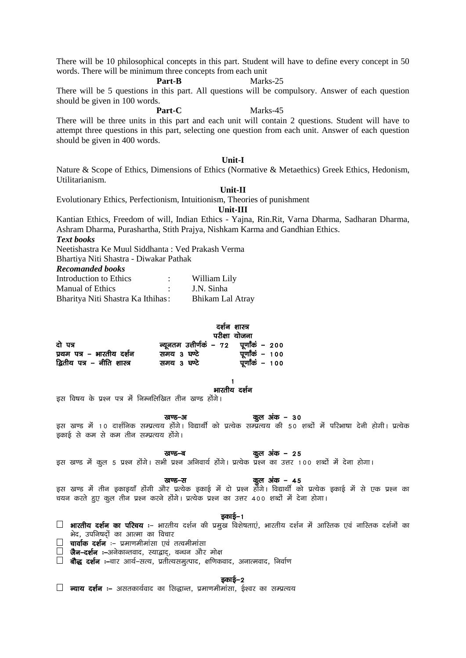Part-B

There will be 5 questions in this part. All questions will be compulsory. Answer of each question should be given in 100 words.

Part-C

Marks-45

Marks-25

There will be three units in this part and each unit will contain 2 questions. Student will have to attempt three questions in this part, selecting one question from each unit. Answer of each question should be given in 400 words.

## **Unit-I**

Nature & Scope of Ethics, Dimensions of Ethics (Normative & Metaethics) Greek Ethics, Hedonism, Utilitarianism.

### Unit-II

Evolutionary Ethics, Perfectionism, Intuitionism, Theories of punishment

## Unit-III

Kantian Ethics, Freedom of will, Indian Ethics - Yajna, Rin.Rit, Varna Dharma, Sadharan Dharma, Ashram Dharma, Purashartha, Stith Prajya, Nishkam Karma and Gandhian Ethics.

**Text hooks** 

Neetishastra Ke Muul Siddhanta : Ved Prakash Verma

Bhartiya Niti Shastra - Diwakar Pathak

# **Recomanded books**

| Introduction to Ethics            | William Lily     |
|-----------------------------------|------------------|
| <b>Manual of Ethics</b>           | J.N. Sinha       |
| Bharitya Niti Shastra Ka Ithihas: | Bhikam Lal Atray |

| दशन               | शास्त्र |
|-------------------|---------|
| <del>u H</del> at | -----   |

 $\epsilon$ 

|                             | <b>TUMIL MIVIMI</b>                       |                 |
|-----------------------------|-------------------------------------------|-----------------|
| दो पत्र                     | न्यूनतम उत्तीर्णकं – 72   पूर्णांकं – 200 |                 |
| प्रथम पत्र – भारतीय दर्शन   | समय ३ घण्टे                               | पूर्णांकं – 100 |
| द्वितीय पत्र – नीति शास्त्र | समय ३ घण्टे                               | पूर्णांकं – 100 |

#### 1 भारतीय दर्शन

इस विषय के प्रश्न पत्र में निम्नलिखित तीन खण्ड होंगे।

कूल अंक – 30 खण्ड-अ

डस खण्ड में 10 दार्शनिक सम्प्रत्यय होंगे। विद्यार्थी को प्रत्येक सम्प्रत्यय की 50 शब्दों में परिभाषा देनी होगी। प्रत्येक इकाई से कम से कम तीन सम्प्रत्यय होंगे।

# कुल अंक – 25

इस खण्ड में कूल 5 प्रश्न होंगे। सभी प्रश्न अनिवार्य होंगे। प्रत्येक प्रश्न का उत्तर 100 शब्दों में देना होगा।

#### खण्ड-स

खण्ड–ब

कूल अंक – 45 इस खण्ड में तीन इकाइयाँ होंगी और प्रत्येक इकाई में दो प्रश्न होंगे। विद्यार्थी को प्रत्येक इकाई में से एक प्रश्न का चयन करते हुए कूल तीन प्रश्न करने होंगे। प्रत्येक प्रश्न का उत्तर 400 शब्दों में देना होगा।

## डकाई–1

- $\Box$  भारतीय दर्शन का परिचय :- भारतीय दर्शन की प्रमुख विशेषताएं, भारतीय दर्शन में आस्तिक एवं नास्तिक दर्शनों का भेद, उपनिषदों का आत्मा का विचार
- $\Box$  चार्वाक दर्शन :- प्रमाणमीमांसा एवं तत्वमीमांसा
- $\Box$  जैन-दर्शन :-अनेकान्तवाद, स्याद्वाद, बन्धन और मोक्ष
- $\Box$  बौद्ध दर्शन :-चार आर्य-सत्य, प्रतीत्यसमूत्पाद, क्षणिकवाद, अनात्मवाद, निर्वाण

# डकाई–2

 $\Box$  व्याय दर्शन :- असतकार्यवाद का सिद्धान्त, प्रमाणमीमांसा, ईश्वर का सम्प्रत्यय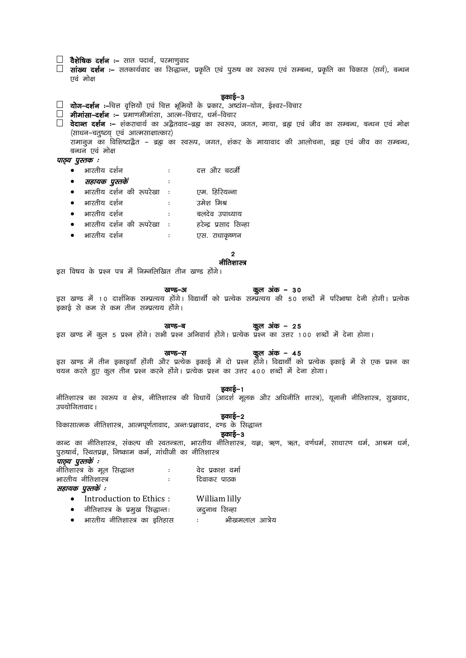$\Box$  सांख्य दर्शन :– सतकार्यवाद का सिद्धान्त, प्रकृति एवं पुरुष का स्वरूप एवं सम्बन्ध, प्रकृति का विकास (सर्ग), बन्धन एवं मोक्ष डकाई–3 □ **योग–दर्शन :–**चित्त वृत्तियों एवं चित्त भूमियों के प्रकार, अष्टांग–योग, ईश्वर–विचार  $\Box$  मीमांसा-दर्शन :- प्रमाणमीमांसा, आत्म-विचार, धर्म-विचार  $\Box$  **वेदान्त दर्शन :-** शंकराचार्य का अद्वैतवाद-ब्रह्म का स्वरूप, जगत, माया, ब्रह्म एवं जीव का सम्बन्ध, बन्धन एवं मोक्ष (साधन-चतुष्टय एवं आत्मसाक्षात्कार) ्<br>रामानज का विशिष्टाद्वैत – ब्रह्म का स्वरूप. जगत. शंकर के मायावाद की आलोचना. ब्रह्म एवं जीव का सम्बन्ध. बन्धन एवं मोक्ष पाठ्य पुस्तक : भारतीय दर्शन दत्त और चटर्जी  $\ddot{\phantom{a}}$  :  $\bullet$ सहायक पुस्तकें  $\bullet$  $\rightarrow$ भारतीय दर्शन की रूपरेखा : एम. हिरियन्ना  $\bullet$ भारतीय दर्शन उमेश मिश्र  $\sim$  10  $^{\circ}$  $\bullet$ भारतीय दर्शन  $\sim 10^{-11}$ बलदेव उपाध्याय  $\bullet$ हरेन्द्र प्रसाद सिन्हा भारतीय दर्शन की रूपरेखा ः  $\bullet$ भारतीय दर्शन एस. राधाकृष्णन  $\mathcal{L}^{\text{max}}_{\text{max}}$  and  $\mathcal{L}^{\text{max}}_{\text{max}}$  $\overline{2}$ नीतिशास्त्र इस विषय के प्रश्न पत्र में निम्नलिखित तीन खण्ड होंगे।

#### खण्ड-अ

 $\Box$  वैशेषिक दर्शन :– सात पदार्थ, परमाणुवाद

कूल अंक – 30 इस खण्ड में 10 दार्शनिक सम्प्रत्यय होंगे। विद्यार्थी को प्रत्येक सम्प्रत्यय की 50 शब्दों में परिभाषा देनी होगी। प्रत्येक इकाई से कम से कम तीन सम्प्रत्यय होंगे।

#### खण्ड–ब कूल अंक – 25

कूल अंक – 45

इस खण्ड में कुल 5 प्रश्न होंगे। सभी प्रश्न अनिवार्य होंगे। प्रत्येक प्रश्न का उत्तर 100 शब्दों में देना होगा।

# खण्ड-स

इस खण्ड में तीन इकाइयाँ होंगी और प्रत्येक इकाई में दो प्रश्न होंगे। विद्यार्थी को प्रत्येक इकाई में से एक प्रश्न का चयन करते हुए कूल तीन प्रश्न करने होंगे। प्रत्येक प्रश्न का उत्तर 400 शब्दों में देना होगा।

# डकाई–1

नीतिशास्त्र का स्वरूप व क्षेत्र, नीतिशास्त्र की विधायें (आदर्श मूलक और अधिनीति शास्त्र), यूनानी नीतिशास्त्र, सूखवाद, उपयोगितावाद ।

# डकाई–2

विकासात्मक नीतिशास्त्र, आत्मपूर्णतावाद, अन्तःप्रज्ञावाद, दण्ड के सिद्धान्त

#### डकाई–3

कान्ट का नीतिशास्त्र, संकल्प की स्वतन्त्रता, भारतीय नीतिशास्त्र, यज्ञ; ऋण, ऋत, वर्णधर्म, साधारण धर्म, आश्रम धर्म, पुरुषार्थ, रिथतप्रज्ञ, निष्काम कर्म, गांधीजी का नीतिशास्त्र

# पाठ्य पुस्तकें :

| नीतिशास्त्र के मूल सिद्धान्त | वेद प्रकाश वर्मा |
|------------------------------|------------------|
| भारतीय नीतिशास्त्र           | दिवाकर पाठक      |
| $\pi$                        |                  |

## सहायक पुस्तकें :

- Introduction to Ethics : William lilly
- नीतिशास्त्र के प्रमुख सिद्धान्तः जदुनाथ सिन्हा
- 
- भारतीय नीतिशास्त्र का इतिहास  $\mathbf{r} = \mathbf{r} \times \mathbf{r}$ भीखमलाल आत्रेय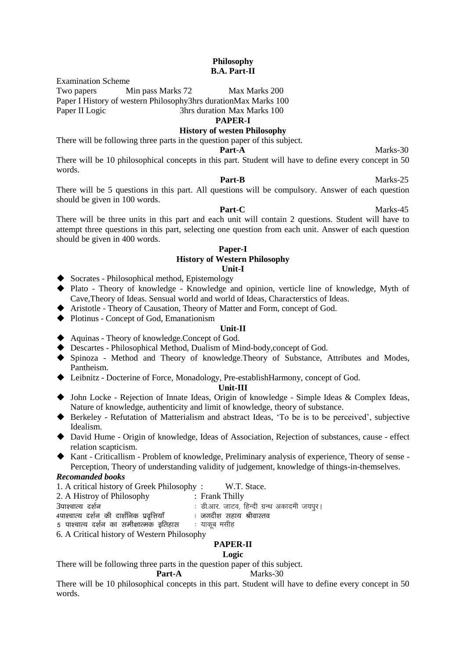# **Philosophy B.A. Part-II**

Examination Scheme

Two papers Min pass Marks 72 Max Marks 200

Paper I History of western Philosophy3hrs durationMax Marks 100

Paper II Logic 3hrs duration Max Marks 100

# **PAPER-I**

# **History of westen Philosophy**

There will be following three parts in the question paper of this subject.

Part-A Marks-30

There will be 10 philosophical concepts in this part. Student will have to define every concept in 50 words.

There will be 5 questions in this part. All questions will be compulsory. Answer of each question should be given in 100 words.

# Part-C<sub>N</sub> Marks-45

Part-B Marks-25

There will be three units in this part and each unit will contain 2 questions. Student will have to attempt three questions in this part, selecting one question from each unit. Answer of each question should be given in 400 words.

# **Paper-I History of Western Philosophy Unit-I**

- ◆ Socrates Philosophical method, Epistemology
- Plato Theory of knowledge Knowledge and opinion, verticle line of knowledge, Myth of Cave,Theory of Ideas. Sensual world and world of Ideas, Characterstics of Ideas.
- Cave, Theory of Ideas. Sensual world and world of Ideas, Characterstics of Ide<br>◆ Aristotle Theory of Causation, Theory of Matter and Form, concept of God.
- Plotinus Concept of God, Emanationism

# **Unit-II**

- ◆ Aquinas Theory of knowledge.Concept of God.
- Descartes Philosophical Method, Dualism of Mind-body,concept of God.
- Spinoza Method and Theory of knowledge.Theory of Substance, Attributes and Modes, Pantheism.
- Leibnitz Docterine of Force, Monadology, Pre-establishHarmony, concept of God.

# **Unit-III**

- John Locke Rejection of Innate Ideas, Origin of knowledge Simple Ideas & Complex Ideas, Nature of knowledge, authenticity and limit of knowledge, theory of substance.
- Berkeley Refutation of Matterialism and abstract Ideas, 'To be is to be perceived', subjective Idealism.
- David Hume Origin of knowledge, Ideas of Association, Rejection of substances, cause effect relation scapticism.
- Kant Criticallism Problem of knowledge, Preliminary analysis of experience, Theory of sense Perception, Theory of understanding validity of judgement, knowledge of things-in-themselves.

# *Recomanded books*

|  | 1. A critical history of Greek Philosophy: | W.T. Stace.                                                             |
|--|--------------------------------------------|-------------------------------------------------------------------------|
|  | 2. A IL stream of Dhilasambu               | $\Gamma$ $\Gamma$ <sub>r</sub> $\sim$ $\Gamma$ $\Gamma$ $\sim$ $\Gamma$ |

- 2. A Histroy of Philosophy : Frank Thilly
- 3पाश्चात्य दर्शन काल संस्था काल काल करने काल काल करने के बीआर. जाटव, हिन्दी ग्रन्थ अकादमी जयपुर। 4पाश्चात्य दर्शन की दार्शनिक प्रवत्तियाँ जगदीश सहाय श्रीवास्तव
- 
- 5 पाश्चात्य दर्शन का समीक्षात्मक इतिहास : याकूब मसीह 6. A Critical history of Western Philosophy
	-

# **PAPER-II**

# **Logic**

There will be following three parts in the question paper of this subject.

# Part-A Marks-30

There will be 10 philosophical concepts in this part. Student will have to define every concept in 50 words.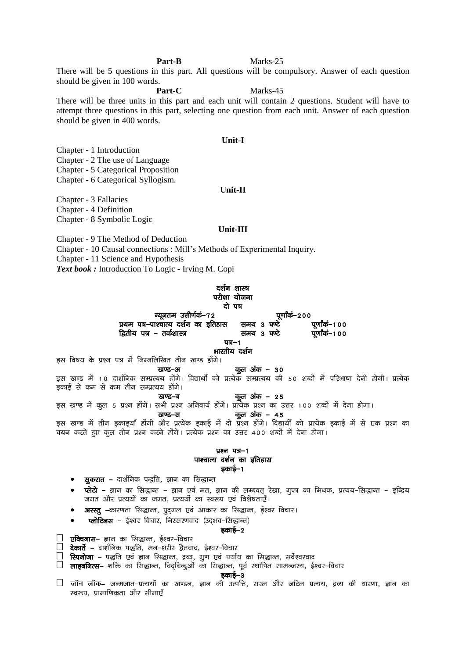## Part-B

There will be 5 questions in this part. All questions will be compulsory. Answer of each question should be given in 100 words.

# Part-C

There will be three units in this part and each unit will contain 2 questions. Student will have to attempt three questions in this part, selecting one question from each unit. Answer of each question should be given in 400 words.

# Unit-I

Chapter - 1 Introduction

Chapter - 2 The use of Language

**Chapter - 5 Categorical Proposition** 

Chapter - 6 Categorical Syllogism.

## **Unit-II**

Chapter - 3 Fallacies

Chapter - 4 Definition

Chapter - 8 Symbolic Logic

## Unit-III

Chapter - 9 The Method of Deduction

Chapter - 10 Causal connections: Mill's Methods of Experimental Inquiry.

Chapter - 11 Science and Hypothesis

Text book : Introduction To Logic - Irving M. Copi

#### दर्शन शास्त्र परीक्षा योजना

#### टो पत्र

पर्णांकं–२०० न्यूनतम उत्तीर्णकं–72 प्रथम पत्र–पाश्चात्य दर्शन का इतिहास समय 3 ਬਾਏ पर्णांकं–१०० द्वितीय पत्र – तर्कशास्त्र समय 3 घण्टे पूर्णांकं–१००

# $\overline{u}$   $\overline{u}$   $\overline{u}$   $\overline{u}$   $\overline{u}$   $\overline{u}$   $\overline{u}$   $\overline{u}$   $\overline{u}$   $\overline{u}$   $\overline{u}$   $\overline{u}$   $\overline{u}$   $\overline{u}$   $\overline{u}$   $\overline{u}$   $\overline{u}$   $\overline{u}$   $\overline{u}$   $\overline{u}$   $\overline{u}$   $\overline{u}$   $\overline{u}$   $\overline{u}$   $\overline{$

भारतीय दर्शन

इस विषय के प्रश्न पत्र में निम्नलिखित तीन खण्ड होंगे।

**ਸਰਾਵ–**ਆ कुल अंक – ३० इस खण्ड में 10 दार्शनिक सम्प्रत्यय होंगे। विद्यार्थी को प्रत्येक सम्प्रत्यय की 50 शब्दों में परिभाषा देनी होगी। प्रत्येक इकाई से कम से कम तीन सम्प्रत्यय होंगे।

#### कूल अंक – 25 खण्ड–ब

इस खण्ड में कूल 5 प्रश्न होंगे। सभी प्रश्न अनिवार्य होंगे। प्रत्येक प्रश्न का उत्तर 100 शब्दों में देना होगा।

#### कूल अंक – 45

इस खण्ड में तीन इकाइयाँ होंगी और प्रत्येक इकाई में दो प्रश्न होंगे। विद्यार्थी को प्रत्येक इकाई में से एक प्रश्न का चयन करते हाग कल तीन प्रश्न करने होंगे। प्रत्येक प्रश्न का उत्तर 400 शब्दों में देना होगा।

## $\overline{u}$ श्न पत्र-1 पाश्चात्य दर्शन का इतिहास इकाई–1

- **सुकरात –** दार्शनिक पद्धति, ज्ञान का सिद्धान्त  $\bullet$
- **प्लेटो –** ज्ञान का सिद्धान्त ज्ञान एवं मत, ज्ञान की लम्बवत् रेखा, गुफा का मिथक, प्रत्यय–सिद्धान्त इन्द्रिय जगत और प्रत्ययों का जगत, प्रत्ययों का स्वरूप एवं विशेषताएँ।
- अरस्तु –कारणता सिद्धान्त, पुद्गल एवं आकार का सिद्धान्त, ईश्वर विचार।

खण्ड-स

### प्लोटिनस - ईश्वर विचार, निस्सरणवाद (उदभव-सिद्धान्त)

#### डकाई–2

□ एक्विनास– ज्ञान का सिद्धान्त, ईश्वर–विचार

□ देकार्ते – दार्शनिक पद्धति, मन-शरीर द्वैतवाद, ईश्वर-विचार

 $\Box$  रिपनोजा – पद्धति एवं ज्ञान सिद्धान्त, द्रव्य, गुण एवं पर्याय का सिद्धान्त, सर्वेश्वरवाद

□ लाइबनित्स– शक्ति का सिद्धान्त, चिद्बिन्दुओं का सिद्धान्त, पूर्व स्थापित सामन्जस्य, ईश्वर–विचार

#### इकाई–3

 $\Box$  जॉन लॉक– जन्मजात–प्रत्ययों का खण्डन, ज्ञान की उत्पत्ति, सरल और जटिल प्रत्यय, द्रव्य की धारणा, ज्ञान का स्वरूप, प्रामाणिकता और सीमाएँ

Marks-25

Marks-45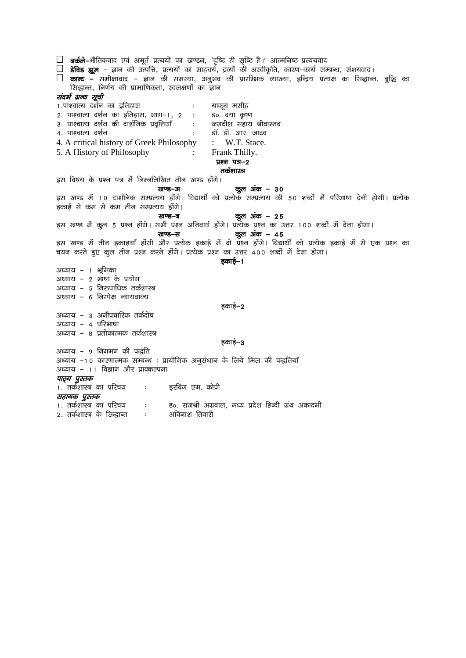□ बर्कले-भौतिकवाद एवं अमूर्त प्रत्ययों का खण्डन, 'दृष्टि ही सृष्टि है।' आत्मनिष्ठ प्रत्ययवाद **ी डेविड ह्यूम** – ज्ञान की उत्पत्ति, प्रत्ययों का साहचर्य, द्रव्यों की अस्वीकृति, कारण-कार्य सम्बन्ध, संशयवाद।  $\Box$  **कान्ट –** समीक्षावाद – ज्ञान की समस्या, अनुभव की प्रारम्भिक व्याख्या, इन्द्रिय प्रत्यक्ष का सिद्धान्त, बुद्धि का सिद्धान्त, निर्णय की प्रामाणिकता, स्वलक्षणों का ज्ञान संदर्भ ग्रन्थ सूची 1.पाश्चात्य दर्शन का इतिहास याकूब मसीह  $\mathcal{L}$ 2. पाश्चात्य दर्शन का इतिहास, भाग–1, 2 ः ड०. दया कृष्ण 3. पाश्चात्य दर्शन की दार्शनिक प्रवृत्तियाँ जगदीश सहाय श्रीवास्तव  $\sim 10^{-1}$ डॉ. डी. आर. जाटव 4. पाश्चात्य दर्शन  $\mathbf{r}$ 4. A critical history of Greek Philosophy : W.T. Stace. 5. A History of Philosophy Frank Thilly.  $787 - 2$ तर्कशास्त्र इस विषय के प्रश्न पत्र में निम्नलिखित तीन खण्ड होंगे। कुल अंक – 30 खण्ड-अ इस खण्ड में 10 दार्शनिक सम्प्रत्यय होंगे। विद्यार्थी को प्रत्येक सम्प्रत्यय की 50 शब्दों में परिभाषा देनी होगी। प्रत्येक इकाई से कम से कम तीन सम्प्रत्यय होंगे। कुल अंक – 25 खण्ड–ब इस खण्ड में कुल 5 प्रश्न होंगे। सभी प्रश्न अनिवार्य होंगे। प्रत्येक प्रश्न का उत्तर 100 शब्दों में देना होगा। खण्ड–स कुल अंक – 45 इस खण्ड में तीन इकाइयाँ होंगी और प्रत्येक इकाई में दो प्रश्न होंगे। विद्यार्थी को प्रत्येक इकाई में से एक प्रश्न का चयन करते हुए कूल तीन प्रश्न करने होंगे। प्रत्येक प्रश्न का उत्तर 400 शब्दों में देना होगा। इकाई–1 अध्याय - 1 भूमिका अध्याय - २ भाषा के प्रयोग अध्याय – ५ निरूपाधिक तर्कशास्त्र अध्याय - ६ निरपेक्ष न्यायवाक्य इकाई-2 अध्याय - ३ अनौपचारिक तर्कदोष अध्याय - 4 परिभाषा अध्याय – ८ प्रतीकात्मक तर्कशास्त्र डकाई–3 अध्याय - 9 निगमन की पद्धति अध्याय -10 कारणात्मक सम्बन्ध : प्रायोगिक अनुसंधान के लिये मिल की पद्धतियाँ अध्याय - 11 विज्ञान और प्राक्कल्पना पाठ्य पुस्तक इरविंग एम. कोपी १. तर्कशास्त्र का परिचय : सहायक पुस्तक १. तर्कशास्त्र का परिचय : ड०. राजश्री अग्रवाल, मध्य प्रदेश हिन्दी ग्रंथ अकादमी 2. तर्कशास्त्र के सिद्धान्त : अविनाश तिवारी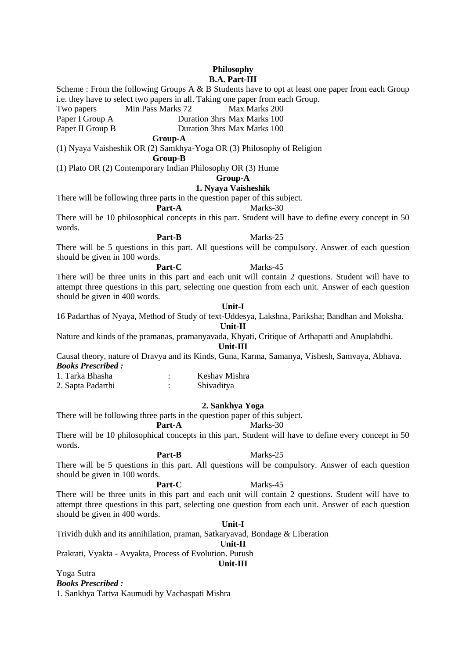# **Philosophy B.A. Part-III**

Scheme : From the following Groups A & B Students have to opt at least one paper from each Group i.e. they have to select two papers in all. Taking one paper from each Group.

Two papers Min Pass Marks 72 Max Marks 200

Paper I Group A Duration 3hrs Max Marks 100

Paper II Group B Duration 3hrs Max Marks 100

# **Group-A**

(1) Nyaya Vaisheshik OR (2) Samkhya-Yoga OR (3) Philosophy of Religion

**Group-B**

(1) Plato OR (2) Contemporary Indian Philosophy OR (3) Hume

# **Group-A**

# **1. Nyaya Vaisheshik**

There will be following three parts in the question paper of this subject.

# Part-A Marks-30

There will be 10 philosophical concepts in this part. Student will have to define every concept in 50 words.

# **Part-B** Marks-25

There will be 5 questions in this part. All questions will be compulsory. Answer of each question should be given in 100 words.

# Part-C Marks-45 There will be three units in this part and each unit will contain 2 questions. Student will have to attempt three questions in this part, selecting one question from each unit. Answer of each question should be given in 400 words.

# **Unit-I**

16 Padarthas of Nyaya, Method of Study of text-Uddesya, Lakshna, Pariksha; Bandhan and Moksha.

# **Unit-II**

Nature and kinds of the pramanas, pramanyavada, Khyati, Critique of Arthapatti and Anuplabdhi.

# **Unit-III**

Causal theory, nature of Dravya and its Kinds, Guna, Karma, Samanya, Vishesh, Samvaya, Abhava. *Books Prescribed :*

| 1. Tarka Bhasha   | Keshav Mishra |
|-------------------|---------------|
| 2. Sapta Padarthi | Shivaditya    |

# **2. Sankhya Yoga**

There will be following three parts in the question paper of this subject.

Part-A Marks-30

There will be 10 philosophical concepts in this part. Student will have to define every concept in 50 words.

# Part-B Marks-25

There will be 5 questions in this part. All questions will be compulsory. Answer of each question should be given in 100 words.

# Part-C Marks-45

There will be three units in this part and each unit will contain 2 questions. Student will have to attempt three questions in this part, selecting one question from each unit. Answer of each question should be given in 400 words.

# **Unit-I**

Trividh dukh and its annihilation, praman, Satkaryavad, Bondage & Liberation

# **Unit-II**

Prakrati, Vyakta - Avyakta, Process of Evolution. Purush

# **Unit-III**

Yoga Sutra *Books Prescribed :* 1. Sankhya Tattva Kaumudi by Vachaspati Mishra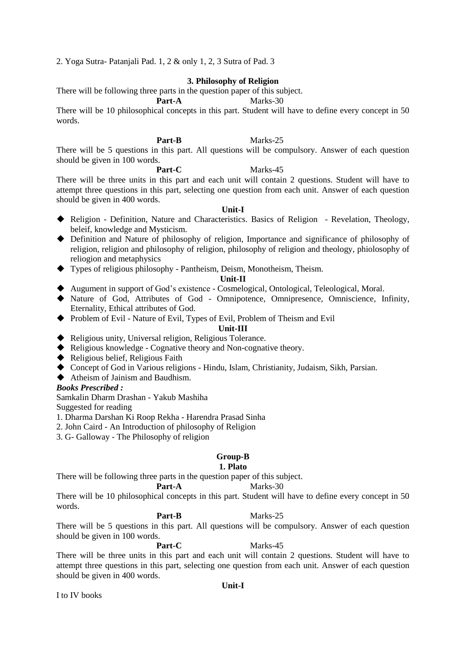2. Yoga Sutra- Patanjali Pad. 1, 2 & only 1, 2, 3 Sutra of Pad. 3

# **3. Philosophy of Religion**

There will be following three parts in the question paper of this subject.

Part-A Marks-30

There will be 10 philosophical concepts in this part. Student will have to define every concept in 50 words.

Part-B Marks-25

There will be 5 questions in this part. All questions will be compulsory. Answer of each question should be given in 100 words.

# Part-C Marks-45

There will be three units in this part and each unit will contain 2 questions. Student will have to attempt three questions in this part, selecting one question from each unit. Answer of each question should be given in 400 words.

# **Unit-I**

- Religion Definition, Nature and Characteristics. Basics of Religion Revelation, Theology, beleif, knowledge and Mysticism.
- Definition and Nature of philosophy of religion, Importance and significance of philosophy of religion, religion and philosophy of religion, philosophy of religion and theology, phiolosophy of reliogion and metaphysics
- Types of religious philosophy Pantheism, Deism, Monotheism, Theism.

# **Unit-II**

- Augument in support of God's existence Cosmelogical, Ontological, Teleological, Moral.
- Nature of God, Attributes of God Omnipotence, Omnipresence, Omniscience, Infinity, Eternality, Ethical attributes of God.
- Problem of Evil Nature of Evil, Types of Evil, Problem of Theism and Evil

# **Unit-III**

- Religious unity, Universal religion, Religious Tolerance.
- Religious knowledge Cognative theory and Non-cognative theory.
- ◆ Religious belief, Religious Faith
- Concept of God in Various religions Hindu, Islam, Christianity, Judaism, Sikh, Parsian.
- Atheism of Jainism and Baudhism.

# *Books Prescribed :*

Samkalin Dharm Drashan - Yakub Mashiha

Suggested for reading

- 1. Dharma Darshan Ki Roop Rekha Harendra Prasad Sinha
- 2. John Caird An Introduction of philosophy of Religion
- 3. G- Galloway The Philosophy of religion

# **Group-B**

# **1. Plato**

There will be following three parts in the question paper of this subject.

Part-A Marks-30

There will be 10 philosophical concepts in this part. Student will have to define every concept in 50 words.

# Part-B Marks-25

There will be 5 questions in this part. All questions will be compulsory. Answer of each question should be given in 100 words.

# Part-C Marks-45

There will be three units in this part and each unit will contain 2 questions. Student will have to attempt three questions in this part, selecting one question from each unit. Answer of each question should be given in 400 words.

# **Unit-I**

I to IV books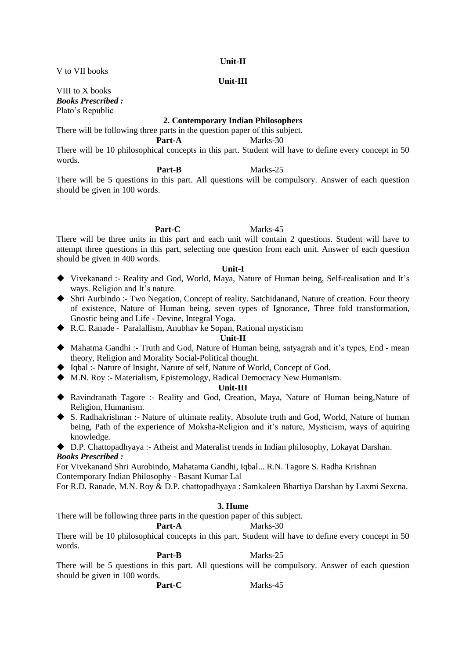# **Unit-II**

V to VII books

# **Unit-III**

VIII to X books *Books Prescribed :* Plato's Republic

# **2. Contemporary Indian Philosophers**

There will be following three parts in the question paper of this subject.

Part-A Marks-30

There will be 10 philosophical concepts in this part. Student will have to define every concept in 50 words.

Part-B Marks-25

There will be 5 questions in this part. All questions will be compulsory. Answer of each question should be given in 100 words.

# Part-C<sub>Narks-45</sub>

There will be three units in this part and each unit will contain 2 questions. Student will have to attempt three questions in this part, selecting one question from each unit. Answer of each question should be given in 400 words.

## **Unit-I**

- Vivekanand :- Reality and God, World, Maya, Nature of Human being, Self-realisation and It's ways. Religion and It's nature.
- Shri Aurbindo :- Two Negation, Concept of reality. Satchidanand, Nature of creation. Four theory of existence, Nature of Human being, seven types of Ignorance, Three fold transformation, Gnostic being and Life - Devine, Integral Yoga.
- R.C. Ranade Paralallism, Anubhav ke Sopan, Rational mysticism

# **Unit-II**

- Mahatma Gandhi :- Truth and God, Nature of Human being, satyagrah and it's types, End mean theory, Religion and Morality Social-Political thought.
- Iqbal :- Nature of Insight, Nature of self, Nature of World, Concept of God.
- M.N. Roy :- Materialism, Epistemology, Radical Democracy New Humanism.

# **Unit-III**

- Ravindranath Tagore :- Reality and God, Creation, Maya, Nature of Human being,Nature of Religion, Humanism.
- S. Radhakrishnan :- Nature of ultimate reality, Absolute truth and God, World, Nature of human being, Path of the experience of Moksha-Religion and it's nature, Mysticism, ways of aquiring knowledge.
- D.P. Chattopadhyaya :- Atheist and Materalist trends in Indian philosophy, Lokayat Darshan. *Books Prescribed :*

For Vivekanand Shri Aurobindo, Mahatama Gandhi, Iqbal... R.N. Tagore S. Radha Krishnan Contemporary Indian Philosophy - Basant Kumar Lal

For R.D. Ranade, M.N. Roy & D.P. chattopadhyaya : Samkaleen Bhartiya Darshan by Laxmi Sexcna.

# **3. Hume**

There will be following three parts in the question paper of this subject.

Part-A Marks-30

There will be 10 philosophical concepts in this part. Student will have to define every concept in 50 words.

# Part-B Marks-25

There will be 5 questions in this part. All questions will be compulsory. Answer of each question should be given in 100 words.

Part-C Marks-45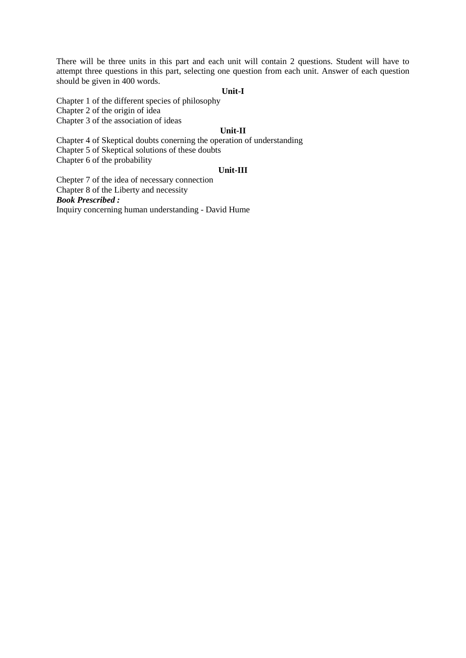There will be three units in this part and each unit will contain 2 questions. Student will have to attempt three questions in this part, selecting one question from each unit. Answer of each question should be given in 400 words.

# **Unit-I**

Chapter 1 of the different species of philosophy Chapter 2 of the origin of idea Chapter 3 of the association of ideas

# **Unit-II**

Chapter 4 of Skeptical doubts conerning the operation of understanding Chapter 5 of Skeptical solutions of these doubts Chapter 6 of the probability

# **Unit-III**

Chepter 7 of the idea of necessary connection Chapter 8 of the Liberty and necessity *Book Prescribed :* Inquiry concerning human understanding - David Hume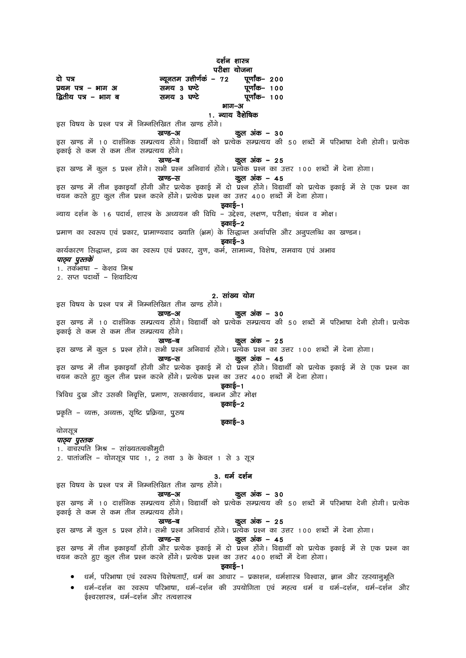दर्शन शास्त्र परीक्षा योजना दो पत्र न्यूनतम उत्तीर्णकं – 72 पूर्णांक– 200 समय 3 घण्टे पूर्णांक– 100 प्रथम पत्र – भाग अ द्वितीय पत्र – भाग ब समय ३ घण्टे पूर्णांक– 100  $ATJ - 3I$ 1. न्याय वैशेषिक इस विषय के प्रश्न पत्र में निम्नलिखित तीन खण्ड होंगे। कुल अंक – 30 खण्ड-अ इस खण्ड में 10 दार्शनिक सम्प्रत्यय होंगे। विद्यार्थी को प्रत्येक सम्प्रत्यय की 50 शब्दों में परिभाषा देनी होगी। प्रत्येक इकाई से कम से कम तीन सम्प्रत्यय होंगे। खण्ड-ब  $\Phi$ ल अंक – 25 इस खण्ड में कूल 5 प्रश्न होंगे। सभी प्रश्न अनिवार्य होंगे। प्रत्येक प्रश्न का उत्तर 100 शब्दों में देना होगा। खण्ड-स कूल अंक – 45 इस खण्ड में तीन इकाइयाँ होंगी और प्रत्येक इकाई में दो प्रश्न होंगे। विद्यार्थी को प्रत्येक इकाई में से एक प्रश्न का चयन करते हुए कूल तीन प्रश्न करने होंगे। प्रत्येक प्रश्न का उत्तर 400 शब्दों में देना होगा। इकाई–1 न्याय दर्शन के 16 पदार्थ, शास्त्र के अध्ययन की विधि - उद्देश्य, लक्षण, परीक्षा; बंधन व मोक्ष। इकाई–2 प्रमाण का स्वरूप एवं प्रकार, प्रामाण्यवाद ख्याति (भ्रम) के सिद्धान्त अर्थापत्ति और अनुपलब्धि का खण्डन। इकाई–3 कार्यकारण सिद्धान्त, द्रव्य का स्वरूप एवं प्रकार, गुण, कर्म, सामान्य, विशेष, समवाय एवं अभाव पाठ्य पुस्तकें 1. तर्कभाषा – केशव मिश्र 2. सप्त पदार्थो – शिवादित्य 2. सांख्य योग इस विषय के प्रश्न पत्र में निम्नलिखित तीन खण्ड होंगे। खण्ड-अ कल अंक  $-30$ इस खण्ड में 10 दार्शनिक सम्प्रत्यय होंगे। विद्यार्थी को प्रत्येक सम्प्रत्यय की 50 शब्दों में परिभाषा देनी होगी। प्रत्येक इकाई से कम से कम तीन सम्प्रत्यय होंगे। कुल अंक – 25 रवण्ड–ब इस खण्ड में कुल 5 प्रश्न होंगे। सभी प्रश्न अनिवार्य होंगे। प्रत्येक प्रश्न का उत्तर 100 शब्दों में देना होगा। खण्ड-स कूल अंक – 45 इस खण्ड में तीन इकाइयाँ होंगी और प्रत्येक इकाई में दो प्रश्न होंगे। विद्यार्थी को प्रत्येक इकाई में से एक प्रश्न का चयन करते हुए कुल तीन प्रश्न करने होंगे। प्रत्येक प्रश्न का उत्तर 400 शब्दों में देना होगा। इकाई–1 त्रिविध दुख और उसकी निवृत्ति, प्रमाण, सत्कार्यवाद, बन्धन और मोक्ष डकाई–2 प्रकृति – व्यक्त, अव्यक्त, सृष्टि प्रक्रिया, पुरुष डकाई–3 योगसत्र पाठ्य पुस्तक 1. वाचस्पति मिश्र – सांख्यतत्वकौमुदी 2. पातांजलि – योगसूत्र पाद 1, 2 तथा 3 के केवल 1 से 3 सूत्र 3. धर्म दर्शन इस विषय के प्रश्न पत्र में निम्नलिखित तीन खण्ड होंगे। खण्ड-अ कुल अंक – 30 इस खण्ड में 10 दार्शनिक सम्प्रत्यय होंगे। विद्यार्थी को प्रत्येक सम्प्रत्यय की 50 शब्दों में परिभाषा देनी होगी। प्रत्येक इकाई से कम से कम तीन सम्प्रत्यय होंगे। खण्ड–ब कूल अंक – 25 इस खण्ड में कूल 5 प्रश्न होंगे। सभी प्रश्न अनिवार्य होंगे। प्रत्येक प्रश्न का उत्तर 100 शब्दों में देना होगा। कुल अंक – 45 खण्ड-स इस खण्ड में तीन इकाइयाँ होंगी और प्रत्येक इकाई में दो प्रश्न होंगे। विद्यार्थी को प्रत्येक इकाई में से एक प्रश्न का चयन करते हुए कूल तीन प्रश्न करने होंगे। प्रत्येक प्रश्न का उत्तर 400 शब्दों में देना होगा। इकाई–1 धर्म, परिभाषा एवं स्वरूप विशेषताएँ, धर्म का आधार – प्रकाशन, धर्मशास्त्र विश्वास, ज्ञान और रहस्यानुभूति धर्म–दर्शन का स्वरूप परिभाषा. धर्म–दर्शन की उपयोगिता एवं महत्व धर्म व धर्म–दर्शन. धर्म–दर्शन और ईश्वरशास्त्र, धर्म-दर्शन और तत्वशास्त्र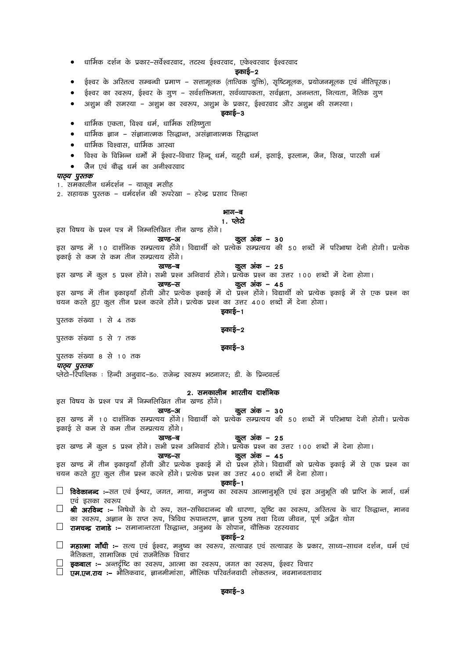धार्मिक दर्शन के प्रकार–सर्वेश्वरवाद, तटस्थ ईश्वरवाद, एकेश्वरवाद ईश्वरवाद

#### इकाई–2

- ईश्वर के अस्तित्व सम्बन्धी प्रमाण सत्तामूलक (तात्विक युक्ति), सृष्टिमूलक, प्रयोजनमूलक एवं नीतिपुरक।
- ईश्वर का स्वरूप, ईश्वर के गूण सर्वशक्तिमता, सर्वव्यापकता, सर्वज्ञता, अनन्तता, नित्यता, नैतिक गूण
- अशुभ की समस्या अशुभ का स्वरूप, अशुभ के प्रकार, ईश्वरवाद और अशुभ की समस्या।

#### डकाई–3

- धार्मिक एकता, विश्व धर्म, धार्मिक सहिष्णुता
- धार्मिक ज्ञान संज्ञानात्मक सिद्धान्त. असंज्ञानात्मक सिद्धान्त
- धार्मिक विश्वास. धार्मिक आस्था
- विश्व के विभिन्न धर्मों में ईश्वर–विचार हिन्दू धर्म, यहूदी धर्म, इसाई, इस्लाम, जैन, सिख, पारसी धर्म
- जैन एवं बौद्ध धर्म का अनीश्वरवाद

#### पाठ्य पुस्तक

1. समकालीन धर्मदर्शन – याकूब मसीह

2. सहायक पुस्तक – धर्मदर्शन की रूपरेखा – हरेन्द्र प्रसाद सिन्हा

# भाग–ब

1. प्लेट<del>ो</del>

इस विषय के प्रश्न पत्र में निम्नलिखित तीन खण्ड होंगे।

कूल अंक – 30 खण्ड-अ इस खण्ड में 10 दार्शनिक सम्प्रत्यय होंगे। विद्यार्थी को प्रत्येक सम्प्रत्यय की 50 शब्दों में परिभाषा देनी होगी। प्रत्येक इकाई से कम से कम तीन सम्प्रत्यय होंगे।

कूल अंक – 25

इस खण्ड में कुल 5 प्रश्न होंगे। सभी प्रश्न अनिवार्य होंगे। प्रत्येक प्रश्न का उत्तर 100 शब्दों में देना होगा।

# कुल अंक – 45

इस खण्ड में तीन इकाइयाँ होंगी और प्रत्येक इकाई में दो प्रश्न होंगे। विद्यार्थी को प्रत्येक इकाई में से एक प्रश्न का चयन करते हुए कुल तीन प्रश्न करने होंगे। प्रत्येक प्रश्न का उत्तर 400 शब्दों में देना होगा।

डकाई–3

इकाई–1

पुस्तक संख्या 1 से 4 तक

डकाई–2

पुस्तक संख्या 5 से 7 तक

पस्तक संख्या ८ से 10 तक

पाठय पुस्तक

प्लेटो-रिपब्लिक : हिन्दी अनुवाद-ड०. राजेन्द्र स्वरूप भटनागर; डी. के प्रिन्टवर्ल्ड

खण्ड-अ

खण्ड-स

ਟਰਾਵ–ਕ

खण्ड-स

#### 2. समकालीन भारतीय दार्शनिक

इस विषय के प्रश्न पत्र में निम्नलिखित तीन खण्ड होंगे।

#### कूल अंक – ३०

इस खण्ड में 10 दार्शनिक सम्प्रत्यय होंगे। विद्यार्थी को प्रत्येक सम्प्रत्यय की 50 शब्दों में परिभाषा देनी होगी। प्रत्येक इकाई से कम से कम तीन सम्प्रत्यय होंगे।

#### खण्ड–ब

इस खण्ड में कुल 5 प्रश्न होंगे। सभी प्रश्न अनिवार्य होंगे। प्रत्येक प्रश्न का उत्तर 100 शब्दों में देना होगा।

### कुल अंक – 45

कूल अंक – 25

इस खण्ड में तीन इकाइयाँ होंगी और प्रत्येक इकाई में दो प्रश्न होंगे। विद्यार्थी को प्रत्येक इकाई में से एक प्रश्न का चयन करते हुए कुल तीन प्रश्न करने होंगे। प्रत्येक प्रश्न का उत्तर 400 शब्दों में देना होगा।

इकाई-1

- □ विवेकानन्द :-सत एवं ईश्वर, जगत, माया, मनुष्य का स्वरूप आत्मानुभूति एवं इस अनुभूति की प्राप्ति के मार्ग, धर्म एवं इसका स्वरूप
- श्री अरविव्द :– निषेधों के दो रूप, सत-सच्चिदानन्द की धारणा, सृष्टि का स्वरूप, अस्तित्व के चार सिद्धान्त, मानव का स्वरूप, अज्ञान के सप्त रूप, त्रिविध रूपान्तरण, ज्ञान पुरुष तथा दिव्य जीवन, पूर्ण अद्वैत योग
- $\Box$  रामचन्द्र रानाडे :– समानान्तरता सिद्धान्त, अनुभव के सोपान, यौक्तिक रहस्यवाद

#### इकाई–2

- $\Box$  महात्मा गाँधी :– सत्य एवं ईश्वर, मनुष्य का स्वरूप, सत्याग्रह एवं सत्याग्रह के प्रकार, साध्य–साधन दर्शन, धर्म एवं नैतिकता. सामाजिक एवं राजनैतिक विचार
- □ **इकबाल :–** अन्तर्दृष्टि का रवरूप, आत्मा का रवरूप, जगत का रवरूप, ईश्वर विचार
- $\Box$  एम.एन.राय :– भौतिकवाद, ज्ञानमीमांसा, मौलिक परिवर्तनवादी लोकतन्त्र, नवमानवतावाद